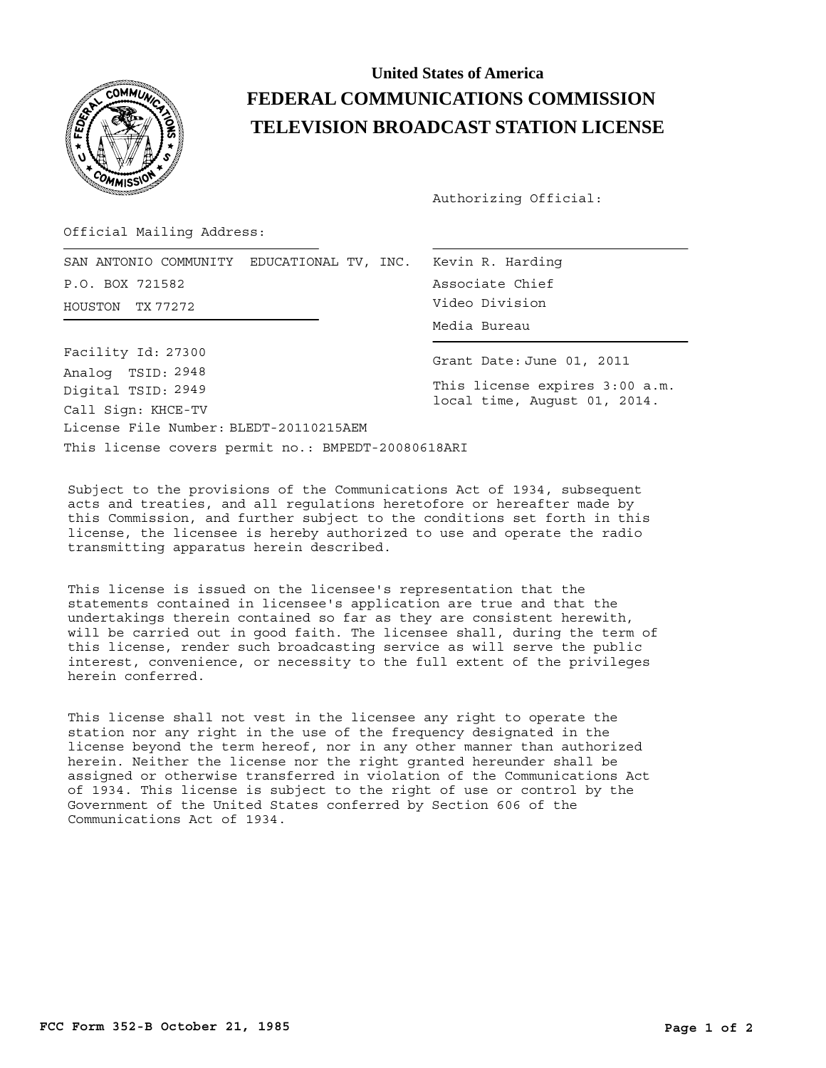

## **United States of America FEDERAL COMMUNICATIONS COMMISSION TELEVISION BROADCAST STATION LICENSE**

Authorizing Official:

Official Mailing Address:

SAN ANTONIO COMMUNITY EDUCATIONAL TV, INC. Kevin R. Harding HOUSTON Video Division TX 77272 P.O. BOX 721582

Associate Chief Media Bureau

This license covers permit no.: BMPEDT-20080618ARI License File Number: BLEDT-20110215AEM Call Sign: KHCE-TV Facility Id: 27300 Digital TSID: 2949 Analog TSID: 2948

Grant Date: June 01, 2011

This license expires 3:00 a.m. local time, August 01, 2014.

Subject to the provisions of the Communications Act of 1934, subsequent acts and treaties, and all regulations heretofore or hereafter made by this Commission, and further subject to the conditions set forth in this license, the licensee is hereby authorized to use and operate the radio transmitting apparatus herein described.

This license is issued on the licensee's representation that the statements contained in licensee's application are true and that the undertakings therein contained so far as they are consistent herewith, will be carried out in good faith. The licensee shall, during the term of this license, render such broadcasting service as will serve the public interest, convenience, or necessity to the full extent of the privileges herein conferred.

This license shall not vest in the licensee any right to operate the station nor any right in the use of the frequency designated in the license beyond the term hereof, nor in any other manner than authorized herein. Neither the license nor the right granted hereunder shall be assigned or otherwise transferred in violation of the Communications Act of 1934. This license is subject to the right of use or control by the Government of the United States conferred by Section 606 of the Communications Act of 1934.